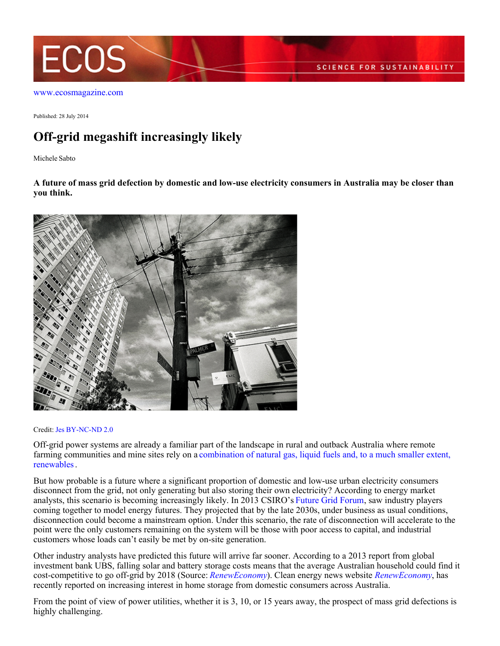

[www.ecosmagazine.com](http://www.ecosmagazine.com)

Published: 28 July 2014

## **Off-grid megashift increasingly likely**

Michele Sabto

**A future of mass grid defection by domestic and low-use electricity consumers in Australia may be closer than you think.**



## Credit: [Jes](https://www.flickr.com/photos/mugley/) [BY-NC-ND 2.0](https://creativecommons.org/licenses/by-nc-nd/2.0/)

Off-grid power systems are already a familiar part of the landscape in rural and outback Australia where remote farming communities and mine sites rely on a [combination of natural gas, liquid fuels and, to a much smaller extent,](http://www.bree.gov.au/publications/beyond-nem-and-swis-2011%E2%80%9312-regional-and-remote-electricity-australia) [renewables](http://www.bree.gov.au/publications/beyond-nem-and-swis-2011%E2%80%9312-regional-and-remote-electricity-australia).

But how probable is a future where a significant proportion of domestic and low-use urban electricity consumers disconnect from the grid, not only generating but also storing their own electricity? According to energy market analysts, this scenario is becoming increasingly likely. In 2013 CSIRO's [Future Grid Forum](http://www.csiro.au/future-grid-forum), saw industry players coming together to model energy futures. They projected that by the late 2030s, under business as usual conditions, disconnection could become a mainstream option. Under this scenario, the rate of disconnection will accelerate to the point were the only customers remaining on the system will be those with poor access to capital, and industrial customers whose loads can't easily be met by on-site generation.

Other industry analysts have predicted this future will arrive far sooner. According to a 2013 report from global investment bank UBS, falling solar and battery storage costs means that the average Australian household could find it cost-competitive to go off-grid by 2018 (Source: *[RenewEconomy](http://reneweconomy.com.au/2014/ubs-australian-households-go-grid-2018)*). Clean energy news website *[RenewEconomy](http://www.reneweconomy.com.au)*, has recently reported on increasing interest in home storage from domestic consumers across Australia.

From the point of view of power utilities, whether it is 3, 10, or 15 years away, the prospect of mass grid defections is highly challenging.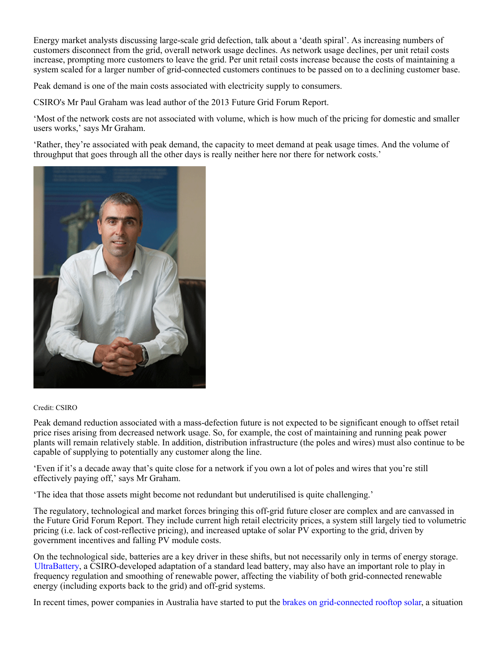Energy market analysts discussing large-scale grid defection, talk about a 'death spiral'. As increasing numbers of customers disconnect from the grid, overall network usage declines. As network usage declines, per unit retail costs increase, prompting more customers to leave the grid. Per unit retail costs increase because the costs of maintaining a system scaled for a larger number of grid-connected customers continues to be passed on to a declining customer base.

Peak demand is one of the main costs associated with electricity supply to consumers.

CSIRO's Mr Paul Graham was lead author of the 2013 Future Grid Forum Report.

'Most of the network costs are not associated with volume, which is how much of the pricing for domestic and smaller users works,' says Mr Graham.

'Rather, they're associated with peak demand, the capacity to meet demand at peak usage times. And the volume of throughput that goes through all the other days is really neither here nor there for network costs.'



## Credit: CSIRO

Peak demand reduction associated with a mass-defection future is not expected to be significant enough to offset retail price rises arising from decreased network usage. So, for example, the cost of maintaining and running peak power plants will remain relatively stable. In addition, distribution infrastructure (the poles and wires) must also continue to be capable of supplying to potentially any customer along the line.

'Even if it's a decade away that's quite close for a network if you own a lot of poles and wires that you're still effectively paying off,' says Mr Graham.

'The idea that those assets might become not redundant but underutilised is quite challenging.'

The regulatory, technological and market forces bringing this off-grid future closer are complex and are canvassed in the Future Grid Forum Report. They include current high retail electricity prices, a system still largely tied to volumetric pricing (i.e. lack of cost-reflective pricing), and increased uptake of solar PV exporting to the grid, driven by government incentives and falling PV module costs.

On the technological side, batteries are a key driver in these shifts, but not necessarily only in terms of energy storage. [UltraBattery](http://www.ecosmagazine.com/?paper=EC12477), a CSIRO-developed adaptation of a standard lead battery, may also have an important role to play in frequency regulation and smoothing of renewable power, affecting the viability of both grid-connected renewable energy (including exports back to the grid) and off-grid systems.

In recent times, power companies in Australia have started to put the [brakes on grid-connected rooftop solar](http://reneweconomy.com.au/2014/solar-wars-utilities-take-on-households-over-rooftop-pv-62304), a situation